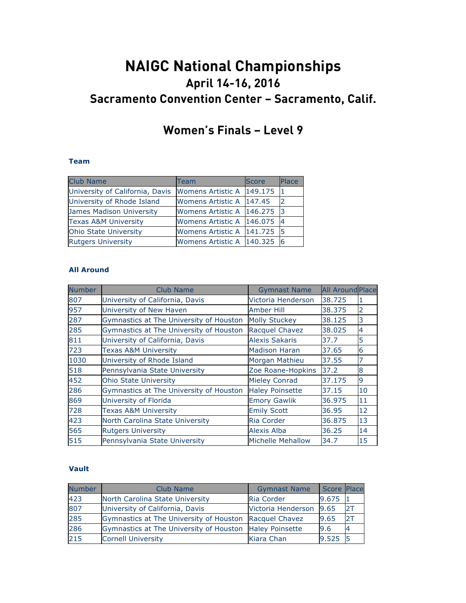# **NAIGC National Championships April 14-16, 2016 Sacramento Convention Center – Sacramento, Calif.**

# **Women's Finals – Level 9**

## **Team**

| <b>Club Name</b>                | Team                          | <b>Score</b> | Place          |
|---------------------------------|-------------------------------|--------------|----------------|
| University of California, Davis | Womens Artistic A 149.175     |              | 11             |
| University of Rhode Island      | Womens Artistic A 147.45      |              |                |
| James Madison University        | Womens Artistic A   146.275   |              | -13            |
| <b>Texas A&amp;M University</b> | Womens Artistic A   146.075   |              | $\overline{a}$ |
| Ohio State University           | Womens Artistic A 141.725 5   |              |                |
| <b>Rutgers University</b>       | Womens Artistic A   140.325 6 |              |                |

#### **All Around**

| <b>Number</b> | Club Name                               | <b>Gymnast Name</b>    | <b>All Around Place</b> |                |
|---------------|-----------------------------------------|------------------------|-------------------------|----------------|
| 807           | University of California, Davis         | Victoria Henderson     | 38.725                  | 1              |
| 957           | University of New Haven                 | Amber Hill             | 38.375                  | $\overline{2}$ |
| 287           | Gymnastics at The University of Houston | <b>Molly Stuckey</b>   | 38.125                  | 3              |
| 285           | Gymnastics at The University of Houston | Racquel Chavez         | 38.025                  | $\overline{4}$ |
| 811           | University of California, Davis         | <b>Alexis Sakaris</b>  | 37.7                    | 5              |
| 723           | <b>Texas A&amp;M University</b>         | <b>Madison Haran</b>   | 37.65                   | 6              |
| 1030          | University of Rhode Island              | Morgan Mathieu         | 37.55                   |                |
| 518           | Pennsylvania State University           | Zoe Roane-Hopkins      | 37.2                    | 8              |
| 452           | <b>Ohio State University</b>            | <b>Mieley Conrad</b>   | 37.175                  | 9              |
| 286           | Gymnastics at The University of Houston | <b>Haley Poinsette</b> | 37.15                   | 10             |
| 869           | University of Florida                   | <b>Emory Gawlik</b>    | 36.975                  | 11             |
| 728           | <b>Texas A&amp;M University</b>         | <b>Emily Scott</b>     | 36.95                   | 12             |
| 423           | North Carolina State University         | Ria Corder             | 36,875                  | 13             |
| 565           | <b>Rutgers University</b>               | <b>Alexis Alba</b>     | 36.25                   | 14             |
| 515           | Pennsylvania State University           | Michelle Mehallow      | 34.7                    | 15             |

#### **Vault**

| <b>Number</b> | <b>Club Name</b>                                       | <b>Gymnast Name</b>    | Score Place |    |
|---------------|--------------------------------------------------------|------------------------|-------------|----|
| 423           | North Carolina State University                        | Ria Corder             | 9.675       |    |
| 807           | University of California, Davis                        | Victoria Henderson     | 9.65        | 2T |
| 285           | Gymnastics at The University of Houston Racquel Chavez |                        | 9.65        | 2T |
| 286           | Gymnastics at The University of Houston                | <b>Haley Poinsette</b> | 9.6         |    |
| 215           | <b>Cornell University</b>                              | Kiara Chan             | $9.525$ 5   |    |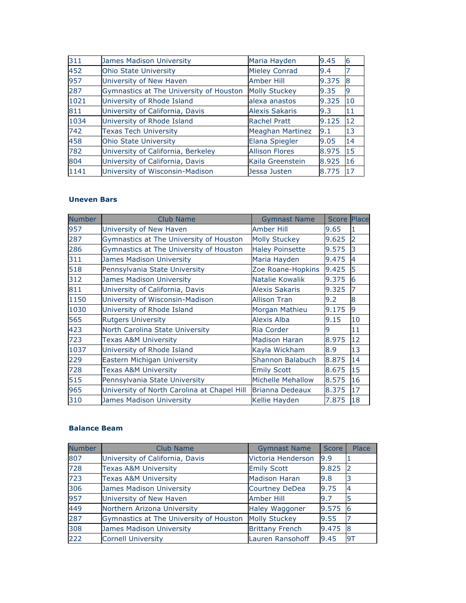| 311  | James Madison University                | Maria Hayden            | 9.45  | 6  |
|------|-----------------------------------------|-------------------------|-------|----|
| 452  | <b>Ohio State University</b>            | <b>Mieley Conrad</b>    | 9.4   | 7  |
| 957  | University of New Haven                 | <b>Amber Hill</b>       | 9.375 | 8  |
| 287  | Gymnastics at The University of Houston | <b>Molly Stuckey</b>    | 9.35  | 9  |
| 1021 | University of Rhode Island              | alexa anastos           | 9.325 | 10 |
| 811  | University of California, Davis         | <b>Alexis Sakaris</b>   | 9.3   | 11 |
| 1034 | University of Rhode Island              | <b>Rachel Pratt</b>     | 9.125 | 12 |
| 742  | <b>Texas Tech University</b>            | <b>Meaghan Martinez</b> | 9.1   | 13 |
| 458  | <b>Ohio State University</b>            | Elana Spiegler          | 9.05  | 14 |
| 782  | University of California, Berkeley      | <b>Allison Flores</b>   | 8.975 | 15 |
| 804  | University of California, Davis         | Kaila Greenstein        | 8.925 | 16 |
| 1141 | University of Wisconsin-Madison         | Jessa Justen            | 8.775 | 17 |

# **Uneven Bars**

| <b>Number</b> | <b>Club Name</b>                            | <b>Gymnast Name</b>    | <b>Score Place</b> |                |
|---------------|---------------------------------------------|------------------------|--------------------|----------------|
| 957           | University of New Haven                     | <b>Amber Hill</b>      | 9.65               | 11             |
| 287           | Gymnastics at The University of Houston     | <b>Molly Stuckey</b>   | 9.625              | $\overline{2}$ |
| 286           | Gymnastics at The University of Houston     | <b>Haley Poinsette</b> | 9.575              | 3              |
| 311           | <b>James Madison University</b>             | Maria Hayden           | 9.475              | $\overline{4}$ |
| 518           | Pennsylvania State University               | Zoe Roane-Hopkins      | 9.425              | 5              |
| 312           | James Madison University                    | Natalie Kowalik        | 9.375              | 6              |
| 811           | University of California, Davis             | Alexis Sakaris         | 9.325              | 7              |
| 1150          | University of Wisconsin-Madison             | <b>Allison Tran</b>    | 9.2                | 8              |
| 1030          | University of Rhode Island                  | Morgan Mathieu         | 9.175              | 9              |
| 565           | <b>Rutgers University</b>                   | <b>Alexis Alba</b>     | 9.15               | 10             |
| 423           | North Carolina State University             | Ria Corder             | 9                  | 11             |
| 723           | Texas A&M University                        | <b>Madison Haran</b>   | 8.975              | 12             |
| 1037          | University of Rhode Island                  | Kayla Wickham          | 8.9                | 13             |
| 229           | Eastern Michigan University                 | Shannon Balabuch       | 8.875              | 14             |
| 728           | <b>Texas A&amp;M University</b>             | <b>Emily Scott</b>     | 8.675              | 15             |
| 515           | Pennsylvania State University               | Michelle Mehallow      | 8.575              | 16             |
| 965           | University of North Carolina at Chapel Hill | Brianna Dedeaux        | 8.375              | 17             |
| 310           | James Madison University                    | Kellie Hayden          | 7.875              | 18             |

# **Balance Beam**

| <b>Number</b> | Club Name                               | <b>Gymnast Name</b>    | <b>Score</b> | Place |
|---------------|-----------------------------------------|------------------------|--------------|-------|
| 807           | University of California, Davis         | Victoria Henderson     | 9.9          |       |
| 728           | <b>Texas A&amp;M University</b>         | <b>Emily Scott</b>     | 9.825        | 2     |
| 723           | <b>Texas A&amp;M University</b>         | <b>Madison Haran</b>   | 9.8          |       |
| 306           | James Madison University                | Courtney DeDea         | 9.75         | 4     |
| 957           | University of New Haven                 | <b>Amber Hill</b>      | 9.7          | 5     |
| 449           | Northern Arizona University             | <b>Haley Waggoner</b>  | 9.575        | 6     |
| 287           | Gymnastics at The University of Houston | <b>Molly Stuckey</b>   | 9.55         |       |
| 308           | James Madison University                | <b>Brittany French</b> | 9.475        | 8     |
| 222           | <b>Cornell University</b>               | Lauren Ransohoff       | 9.45         | 9T    |